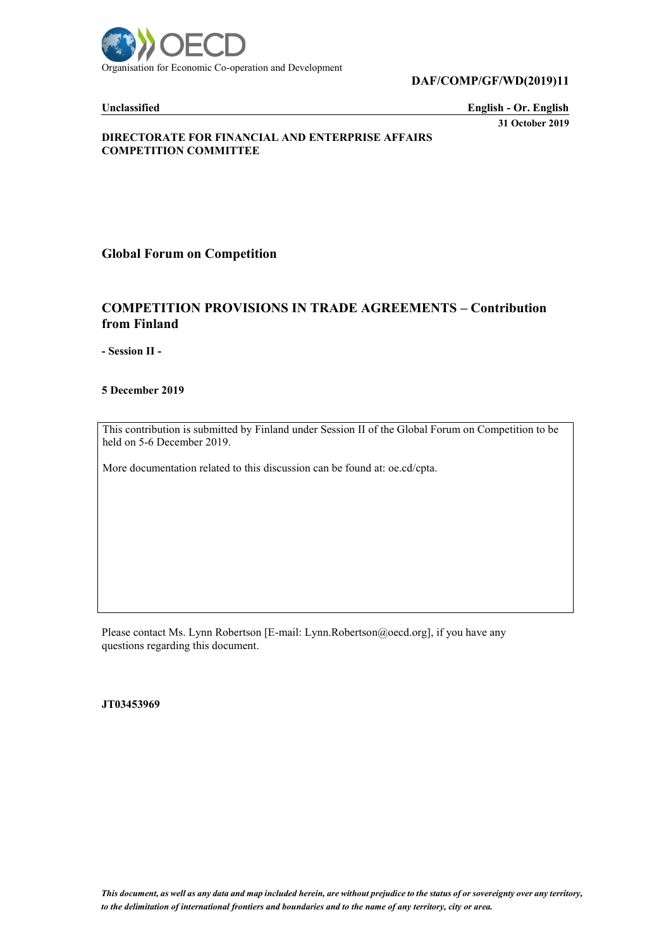

**DAF/COMP/GF/WD(2019)11**

**Unclassified English - Or. English 31 October 2019**

#### **DIRECTORATE FOR FINANCIAL AND ENTERPRISE AFFAIRS COMPETITION COMMITTEE**

**Global Forum on Competition**

# **COMPETITION PROVISIONS IN TRADE AGREEMENTS – Contribution from Finland**

**- Session II -**

**5 December 2019**

This contribution is submitted by Finland under Session II of the Global Forum on Competition to be held on 5-6 December 2019.

More documentation related to this discussion can be found at: oe.cd/cpta.

Please contact Ms. Lynn Robertson [E-mail: Lynn.Robertson@oecd.org], if you have any questions regarding this document.

**JT03453969**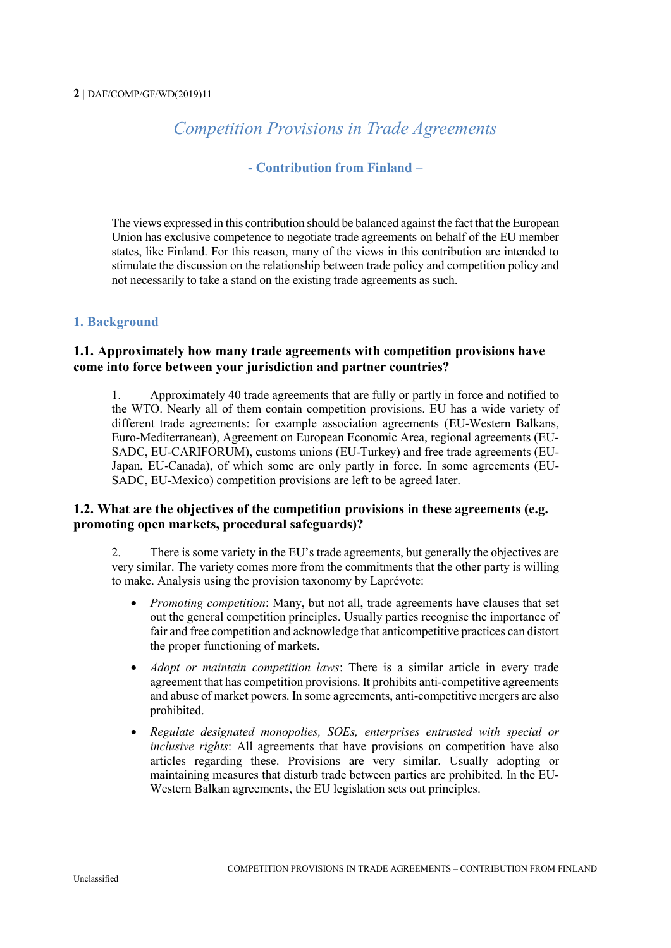# *Competition Provisions in Trade Agreements*

## **- Contribution from Finland –**

The views expressed in this contribution should be balanced against the fact that the European Union has exclusive competence to negotiate trade agreements on behalf of the EU member states, like Finland. For this reason, many of the views in this contribution are intended to stimulate the discussion on the relationship between trade policy and competition policy and not necessarily to take a stand on the existing trade agreements as such.

### **1. Background**

## **1.1. Approximately how many trade agreements with competition provisions have come into force between your jurisdiction and partner countries?**

1. Approximately 40 trade agreements that are fully or partly in force and notified to the WTO. Nearly all of them contain competition provisions. EU has a wide variety of different trade agreements: for example association agreements (EU-Western Balkans, Euro-Mediterranean), Agreement on European Economic Area, regional agreements (EU-SADC, EU-CARIFORUM), customs unions (EU-Turkey) and free trade agreements (EU-Japan, EU-Canada), of which some are only partly in force. In some agreements (EU-SADC, EU-Mexico) competition provisions are left to be agreed later.

## **1.2. What are the objectives of the competition provisions in these agreements (e.g. promoting open markets, procedural safeguards)?**

2. There is some variety in the EU's trade agreements, but generally the objectives are very similar. The variety comes more from the commitments that the other party is willing to make. Analysis using the provision taxonomy by Laprévote:

- *Promoting competition*: Many, but not all, trade agreements have clauses that set out the general competition principles. Usually parties recognise the importance of fair and free competition and acknowledge that anticompetitive practices can distort the proper functioning of markets.
- *Adopt or maintain competition laws*: There is a similar article in every trade agreement that has competition provisions. It prohibits anti-competitive agreements and abuse of market powers. In some agreements, anti-competitive mergers are also prohibited.
- *Regulate designated monopolies, SOEs, enterprises entrusted with special or inclusive rights*: All agreements that have provisions on competition have also articles regarding these. Provisions are very similar. Usually adopting or maintaining measures that disturb trade between parties are prohibited. In the EU-Western Balkan agreements, the EU legislation sets out principles.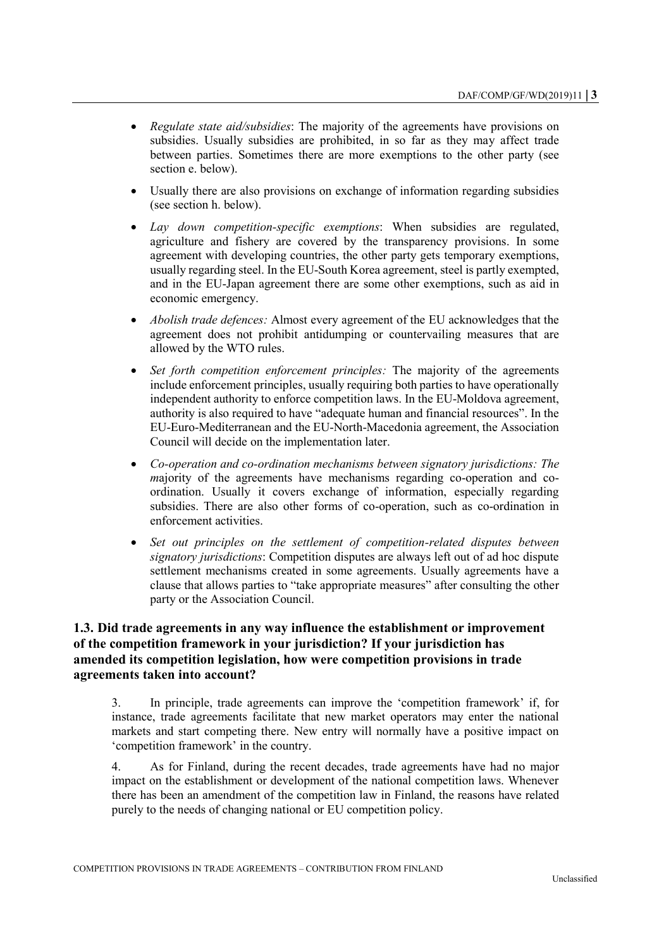- *Regulate state aid/subsidies*: The majority of the agreements have provisions on subsidies. Usually subsidies are prohibited, in so far as they may affect trade between parties. Sometimes there are more exemptions to the other party (see section e. below).
- Usually there are also provisions on exchange of information regarding subsidies (see section h. below).
- *Lay down competition-specific exemptions*: When subsidies are regulated, agriculture and fishery are covered by the transparency provisions. In some agreement with developing countries, the other party gets temporary exemptions, usually regarding steel. In the EU-South Korea agreement, steel is partly exempted, and in the EU-Japan agreement there are some other exemptions, such as aid in economic emergency.
- *Abolish trade defences:* Almost every agreement of the EU acknowledges that the agreement does not prohibit antidumping or countervailing measures that are allowed by the WTO rules.
- *Set forth competition enforcement principles:* The majority of the agreements include enforcement principles, usually requiring both parties to have operationally independent authority to enforce competition laws. In the EU-Moldova agreement, authority is also required to have "adequate human and financial resources". In the EU-Euro-Mediterranean and the EU-North-Macedonia agreement, the Association Council will decide on the implementation later.
- *Co-operation and co-ordination mechanisms between signatory jurisdictions: The majority* of the agreements have mechanisms regarding co-operation and coordination. Usually it covers exchange of information, especially regarding subsidies. There are also other forms of co-operation, such as co-ordination in enforcement activities.
- *Set out principles on the settlement of competition-related disputes between signatory jurisdictions*: Competition disputes are always left out of ad hoc dispute settlement mechanisms created in some agreements. Usually agreements have a clause that allows parties to "take appropriate measures" after consulting the other party or the Association Council.

## **1.3. Did trade agreements in any way influence the establishment or improvement of the competition framework in your jurisdiction? If your jurisdiction has amended its competition legislation, how were competition provisions in trade agreements taken into account?**

3. In principle, trade agreements can improve the 'competition framework' if, for instance, trade agreements facilitate that new market operators may enter the national markets and start competing there. New entry will normally have a positive impact on 'competition framework' in the country.

4. As for Finland, during the recent decades, trade agreements have had no major impact on the establishment or development of the national competition laws. Whenever there has been an amendment of the competition law in Finland, the reasons have related purely to the needs of changing national or EU competition policy.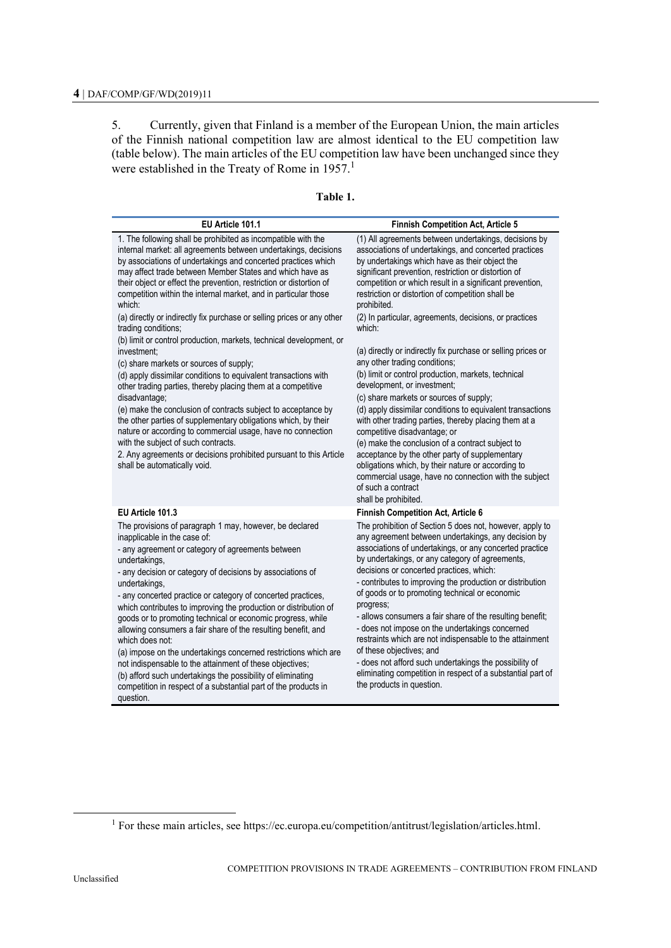5. Currently, given that Finland is a member of the European Union, the main articles of the Finnish national competition law are almost identical to the EU competition law (table below). The main articles of the EU competition law have been unchanged since they were established in the Treaty of Rome in  $1957$ .<sup>1</sup>

| EU Article 101.1                                                                                                                                                                                                                                                                                                                                                                                                                                                                                                                                                                                                                                                                                                                                                                                                                                                                                                                                                                                                                                                                                                                                       | <b>Finnish Competition Act, Article 5</b>                                                                                                                                                                                                                                                                                                                                                                                                                                                                                                                                                                                                                                                                                                                                                                                                                                                                                                                                                                                                                                                |
|--------------------------------------------------------------------------------------------------------------------------------------------------------------------------------------------------------------------------------------------------------------------------------------------------------------------------------------------------------------------------------------------------------------------------------------------------------------------------------------------------------------------------------------------------------------------------------------------------------------------------------------------------------------------------------------------------------------------------------------------------------------------------------------------------------------------------------------------------------------------------------------------------------------------------------------------------------------------------------------------------------------------------------------------------------------------------------------------------------------------------------------------------------|------------------------------------------------------------------------------------------------------------------------------------------------------------------------------------------------------------------------------------------------------------------------------------------------------------------------------------------------------------------------------------------------------------------------------------------------------------------------------------------------------------------------------------------------------------------------------------------------------------------------------------------------------------------------------------------------------------------------------------------------------------------------------------------------------------------------------------------------------------------------------------------------------------------------------------------------------------------------------------------------------------------------------------------------------------------------------------------|
| 1. The following shall be prohibited as incompatible with the<br>internal market: all agreements between undertakings, decisions<br>by associations of undertakings and concerted practices which<br>may affect trade between Member States and which have as<br>their object or effect the prevention, restriction or distortion of<br>competition within the internal market, and in particular those<br>which:<br>(a) directly or indirectly fix purchase or selling prices or any other<br>trading conditions;<br>(b) limit or control production, markets, technical development, or<br>investment;<br>(c) share markets or sources of supply;<br>(d) apply dissimilar conditions to equivalent transactions with<br>other trading parties, thereby placing them at a competitive<br>disadvantage;<br>(e) make the conclusion of contracts subject to acceptance by<br>the other parties of supplementary obligations which, by their<br>nature or according to commercial usage, have no connection<br>with the subject of such contracts.<br>2. Any agreements or decisions prohibited pursuant to this Article<br>shall be automatically void. | (1) All agreements between undertakings, decisions by<br>associations of undertakings, and concerted practices<br>by undertakings which have as their object the<br>significant prevention, restriction or distortion of<br>competition or which result in a significant prevention,<br>restriction or distortion of competition shall be<br>prohibited.<br>(2) In particular, agreements, decisions, or practices<br>which:<br>(a) directly or indirectly fix purchase or selling prices or<br>any other trading conditions;<br>(b) limit or control production, markets, technical<br>development, or investment;<br>(c) share markets or sources of supply;<br>(d) apply dissimilar conditions to equivalent transactions<br>with other trading parties, thereby placing them at a<br>competitive disadvantage; or<br>(e) make the conclusion of a contract subject to<br>acceptance by the other party of supplementary<br>obligations which, by their nature or according to<br>commercial usage, have no connection with the subject<br>of such a contract<br>shall be prohibited. |
| EU Article 101.3                                                                                                                                                                                                                                                                                                                                                                                                                                                                                                                                                                                                                                                                                                                                                                                                                                                                                                                                                                                                                                                                                                                                       | Finnish Competition Act, Article 6                                                                                                                                                                                                                                                                                                                                                                                                                                                                                                                                                                                                                                                                                                                                                                                                                                                                                                                                                                                                                                                       |
| The provisions of paragraph 1 may, however, be declared<br>inapplicable in the case of:<br>- any agreement or category of agreements between<br>undertakings,<br>- any decision or category of decisions by associations of<br>undertakings,<br>- any concerted practice or category of concerted practices,<br>which contributes to improving the production or distribution of<br>goods or to promoting technical or economic progress, while<br>allowing consumers a fair share of the resulting benefit, and<br>which does not:<br>(a) impose on the undertakings concerned restrictions which are<br>not indispensable to the attainment of these objectives;<br>(b) afford such undertakings the possibility of eliminating<br>competition in respect of a substantial part of the products in<br>question.                                                                                                                                                                                                                                                                                                                                      | The prohibition of Section 5 does not, however, apply to<br>any agreement between undertakings, any decision by<br>associations of undertakings, or any concerted practice<br>by undertakings, or any category of agreements,<br>decisions or concerted practices, which:<br>- contributes to improving the production or distribution<br>of goods or to promoting technical or economic<br>progress;<br>- allows consumers a fair share of the resulting benefit;<br>- does not impose on the undertakings concerned<br>restraints which are not indispensable to the attainment<br>of these objectives; and<br>- does not afford such undertakings the possibility of<br>eliminating competition in respect of a substantial part of<br>the products in question.                                                                                                                                                                                                                                                                                                                      |

#### **Table 1.**

l

<sup>&</sup>lt;sup>1</sup> For these main articles, see https://ec.europa.eu/competition/antitrust/legislation/articles.html.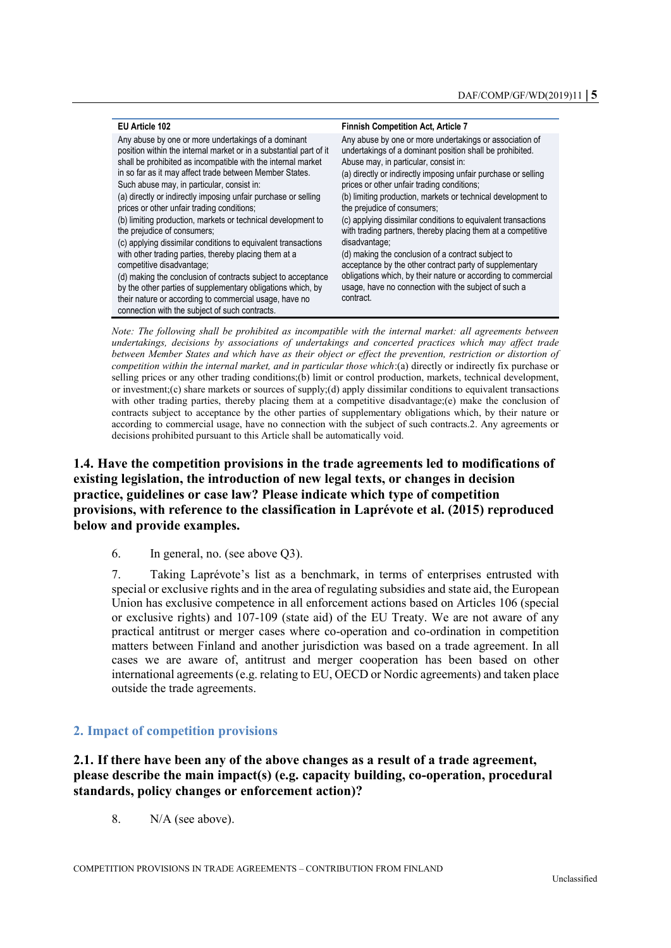| EU Article 102                                                                                                                                                                                                                                                                                                                                                                                                                                                                                                    | <b>Finnish Competition Act, Article 7</b>                                                                                                                                                                                                                                                                                                                                                                                                                                                                    |
|-------------------------------------------------------------------------------------------------------------------------------------------------------------------------------------------------------------------------------------------------------------------------------------------------------------------------------------------------------------------------------------------------------------------------------------------------------------------------------------------------------------------|--------------------------------------------------------------------------------------------------------------------------------------------------------------------------------------------------------------------------------------------------------------------------------------------------------------------------------------------------------------------------------------------------------------------------------------------------------------------------------------------------------------|
| Any abuse by one or more undertakings of a dominant<br>position within the internal market or in a substantial part of it<br>shall be prohibited as incompatible with the internal market<br>in so far as it may affect trade between Member States.<br>Such abuse may, in particular, consist in:<br>(a) directly or indirectly imposing unfair purchase or selling<br>prices or other unfair trading conditions;<br>(b) limiting production, markets or technical development to<br>the prejudice of consumers; | Any abuse by one or more undertakings or association of<br>undertakings of a dominant position shall be prohibited.<br>Abuse may, in particular, consist in:<br>(a) directly or indirectly imposing unfair purchase or selling<br>prices or other unfair trading conditions;<br>(b) limiting production, markets or technical development to<br>the prejudice of consumers;<br>(c) applying dissimilar conditions to equivalent transactions<br>with trading partners, thereby placing them at a competitive |
| (c) applying dissimilar conditions to equivalent transactions<br>with other trading parties, thereby placing them at a<br>competitive disadvantage;<br>(d) making the conclusion of contracts subject to acceptance<br>by the other parties of supplementary obligations which, by<br>their nature or according to commercial usage, have no<br>connection with the subject of such contracts.                                                                                                                    | disadvantage;<br>(d) making the conclusion of a contract subject to<br>acceptance by the other contract party of supplementary<br>obligations which, by their nature or according to commercial<br>usage, have no connection with the subject of such a<br>contract.                                                                                                                                                                                                                                         |

*Note: The following shall be prohibited as incompatible with the internal market: all agreements between undertakings, decisions by associations of undertakings and concerted practices which may affect trade between Member States and which have as their object or effect the prevention, restriction or distortion of competition within the internal market, and in particular those which*:(a) directly or indirectly fix purchase or selling prices or any other trading conditions;(b) limit or control production, markets, technical development, or investment;(c) share markets or sources of supply;(d) apply dissimilar conditions to equivalent transactions with other trading parties, thereby placing them at a competitive disadvantage;(e) make the conclusion of contracts subject to acceptance by the other parties of supplementary obligations which, by their nature or according to commercial usage, have no connection with the subject of such contracts.2. Any agreements or decisions prohibited pursuant to this Article shall be automatically void.

# **1.4. Have the competition provisions in the trade agreements led to modifications of existing legislation, the introduction of new legal texts, or changes in decision practice, guidelines or case law? Please indicate which type of competition provisions, with reference to the classification in Laprévote et al. (2015) reproduced below and provide examples.**

6. In general, no. (see above Q3).

7. Taking Laprévote's list as a benchmark, in terms of enterprises entrusted with special or exclusive rights and in the area of regulating subsidies and state aid, the European Union has exclusive competence in all enforcement actions based on Articles 106 (special or exclusive rights) and 107-109 (state aid) of the EU Treaty. We are not aware of any practical antitrust or merger cases where co-operation and co-ordination in competition matters between Finland and another jurisdiction was based on a trade agreement. In all cases we are aware of, antitrust and merger cooperation has been based on other international agreements (e.g. relating to EU, OECD or Nordic agreements) and taken place outside the trade agreements.

#### **2. Impact of competition provisions**

**2.1. If there have been any of the above changes as a result of a trade agreement, please describe the main impact(s) (e.g. capacity building, co-operation, procedural standards, policy changes or enforcement action)?** 

8. N/A (see above).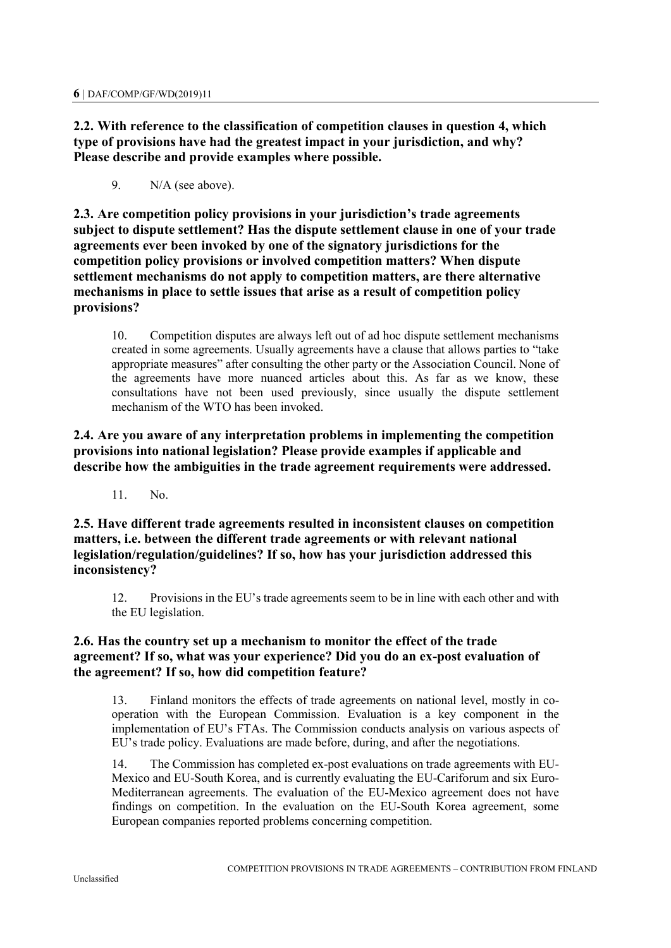**2.2. With reference to the classification of competition clauses in question 4, which type of provisions have had the greatest impact in your jurisdiction, and why? Please describe and provide examples where possible.**

9. N/A (see above).

**2.3. Are competition policy provisions in your jurisdiction's trade agreements subject to dispute settlement? Has the dispute settlement clause in one of your trade agreements ever been invoked by one of the signatory jurisdictions for the competition policy provisions or involved competition matters? When dispute settlement mechanisms do not apply to competition matters, are there alternative mechanisms in place to settle issues that arise as a result of competition policy provisions?**

10. Competition disputes are always left out of ad hoc dispute settlement mechanisms created in some agreements. Usually agreements have a clause that allows parties to "take appropriate measures" after consulting the other party or the Association Council. None of the agreements have more nuanced articles about this. As far as we know, these consultations have not been used previously, since usually the dispute settlement mechanism of the WTO has been invoked.

**2.4. Are you aware of any interpretation problems in implementing the competition provisions into national legislation? Please provide examples if applicable and describe how the ambiguities in the trade agreement requirements were addressed.** 

11. No.

**2.5. Have different trade agreements resulted in inconsistent clauses on competition matters, i.e. between the different trade agreements or with relevant national legislation/regulation/guidelines? If so, how has your jurisdiction addressed this inconsistency?** 

12. Provisions in the EU's trade agreements seem to be in line with each other and with the EU legislation.

# **2.6. Has the country set up a mechanism to monitor the effect of the trade agreement? If so, what was your experience? Did you do an ex-post evaluation of the agreement? If so, how did competition feature?**

13. Finland monitors the effects of trade agreements on national level, mostly in cooperation with the European Commission. Evaluation is a key component in the implementation of EU's FTAs. The Commission conducts analysis on various aspects of EU's trade policy. Evaluations are made before, during, and after the negotiations.

14. The Commission has completed ex-post evaluations on trade agreements with EU-Mexico and EU-South Korea, and is currently evaluating the EU-Cariforum and six Euro-Mediterranean agreements. The evaluation of the EU-Mexico agreement does not have findings on competition. In the evaluation on the EU-South Korea agreement, some European companies reported problems concerning competition.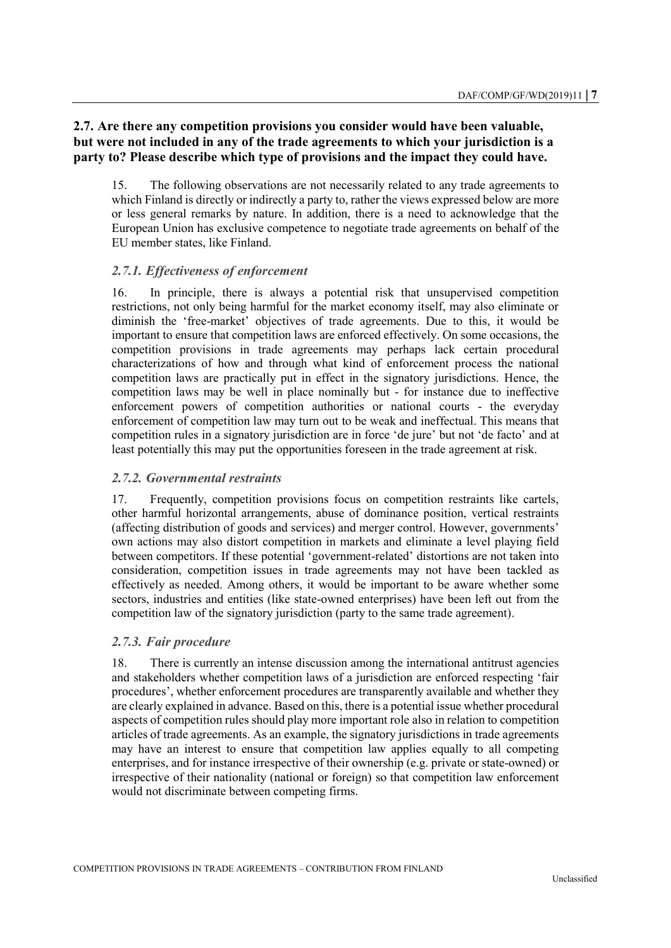# **2.7. Are there any competition provisions you consider would have been valuable, but were not included in any of the trade agreements to which your jurisdiction is a party to? Please describe which type of provisions and the impact they could have.**

15. The following observations are not necessarily related to any trade agreements to which Finland is directly or indirectly a party to, rather the views expressed below are more or less general remarks by nature. In addition, there is a need to acknowledge that the European Union has exclusive competence to negotiate trade agreements on behalf of the EU member states, like Finland.

## *2.7.1. Effectiveness of enforcement*

16. In principle, there is always a potential risk that unsupervised competition restrictions, not only being harmful for the market economy itself, may also eliminate or diminish the 'free-market' objectives of trade agreements. Due to this, it would be important to ensure that competition laws are enforced effectively. On some occasions, the competition provisions in trade agreements may perhaps lack certain procedural characterizations of how and through what kind of enforcement process the national competition laws are practically put in effect in the signatory jurisdictions. Hence, the competition laws may be well in place nominally but - for instance due to ineffective enforcement powers of competition authorities or national courts - the everyday enforcement of competition law may turn out to be weak and ineffectual. This means that competition rules in a signatory jurisdiction are in force 'de jure' but not 'de facto' and at least potentially this may put the opportunities foreseen in the trade agreement at risk.

## *2.7.2. Governmental restraints*

17. Frequently, competition provisions focus on competition restraints like cartels, other harmful horizontal arrangements, abuse of dominance position, vertical restraints (affecting distribution of goods and services) and merger control. However, governments' own actions may also distort competition in markets and eliminate a level playing field between competitors. If these potential 'government-related' distortions are not taken into consideration, competition issues in trade agreements may not have been tackled as effectively as needed. Among others, it would be important to be aware whether some sectors, industries and entities (like state-owned enterprises) have been left out from the competition law of the signatory jurisdiction (party to the same trade agreement).

## *2.7.3. Fair procedure*

18. There is currently an intense discussion among the international antitrust agencies and stakeholders whether competition laws of a jurisdiction are enforced respecting 'fair procedures', whether enforcement procedures are transparently available and whether they are clearly explained in advance. Based on this, there is a potential issue whether procedural aspects of competition rules should play more important role also in relation to competition articles of trade agreements. As an example, the signatory jurisdictions in trade agreements may have an interest to ensure that competition law applies equally to all competing enterprises, and for instance irrespective of their ownership (e.g. private or state-owned) or irrespective of their nationality (national or foreign) so that competition law enforcement would not discriminate between competing firms.